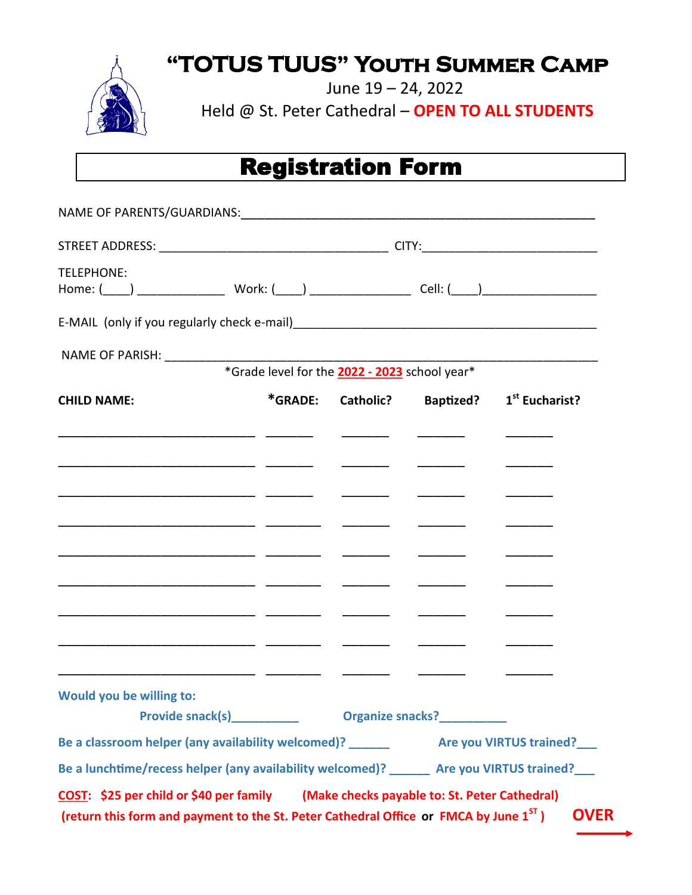**"TOTUS TUUS" Youth Summer Camp** 



June 19 – 24, 2022

Held @ St. Peter Cathedral – **OPEN TO ALL STUDENTS**

# Registration Form

| <b>TELEPHONE:</b>                                                                                         |         |                                               |                  |                            |  |
|-----------------------------------------------------------------------------------------------------------|---------|-----------------------------------------------|------------------|----------------------------|--|
|                                                                                                           |         |                                               |                  |                            |  |
| NAME OF PARISH:                                                                                           |         |                                               |                  |                            |  |
|                                                                                                           |         | *Grade level for the 2022 - 2023 school year* |                  |                            |  |
| <b>CHILD NAME:</b>                                                                                        | *GRADE: | Catholic?                                     | <b>Baptized?</b> | 1 <sup>st</sup> Eucharist? |  |
|                                                                                                           |         |                                               |                  |                            |  |
|                                                                                                           |         |                                               |                  |                            |  |
|                                                                                                           |         |                                               |                  |                            |  |
|                                                                                                           |         |                                               |                  |                            |  |
|                                                                                                           |         |                                               |                  |                            |  |
|                                                                                                           |         |                                               |                  |                            |  |
|                                                                                                           |         |                                               |                  |                            |  |
|                                                                                                           |         |                                               |                  |                            |  |
|                                                                                                           |         |                                               |                  |                            |  |
| Would you be willing to:<br><b>Provide snack(s)</b>                                                       |         | <b>Organize snacks?</b>                       |                  |                            |  |
|                                                                                                           |         |                                               |                  |                            |  |
| Be a classroom helper (any availability welcomed)? ______________________________ Are you VIRTUS trained? |         |                                               |                  |                            |  |
| Be a lunchtime/recess helper (any availability welcomed)? Are you VIRTUS trained?                         |         |                                               |                  |                            |  |
| COST: \$25 per child or \$40 per family (Make checks payable to: St. Peter Cathedral)                     |         |                                               |                  |                            |  |
| (return this form and payment to the St. Peter Cathedral Office or FMCA by June 1 <sup>ST</sup> )         |         |                                               |                  | <b>OVER</b>                |  |